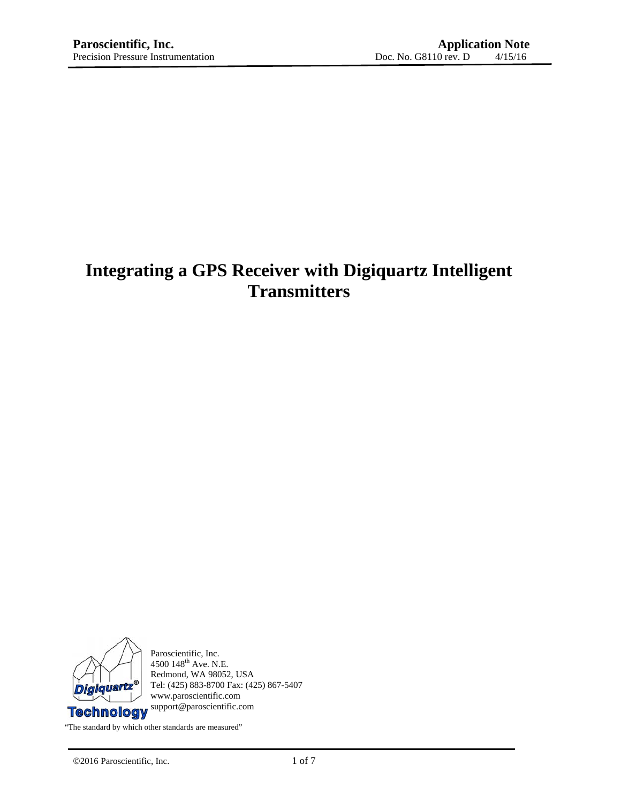# **Integrating a GPS Receiver with Digiquartz Intelligent Transmitters**



Paroscientific, Inc.  $4500$   $148^{\text{th}}$  Ave. N.E. Redmond, WA 98052, USA Tel: (425) 883-8700 Fax: (425) 867-5407 www.paroscientific.com support@paroscientific.com

"The standard by which other standards are measured"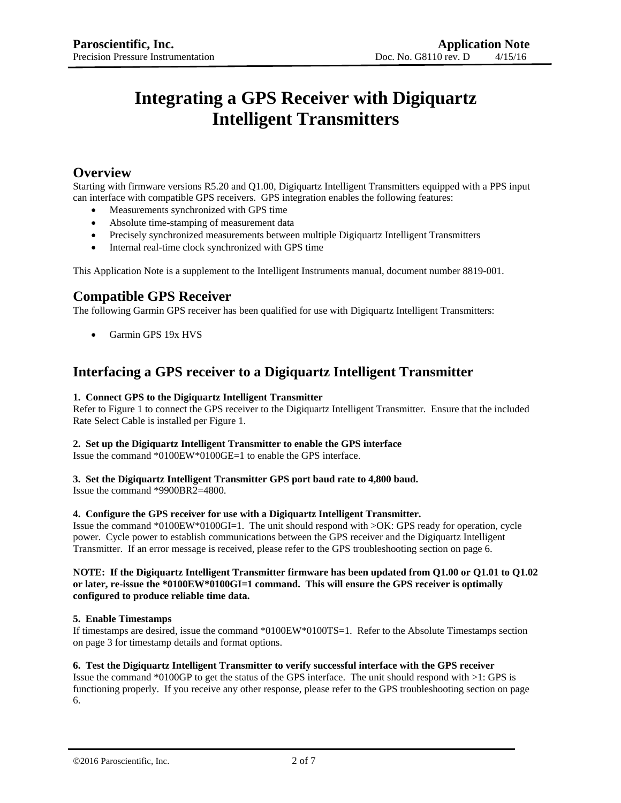# **Integrating a GPS Receiver with Digiquartz Intelligent Transmitters**

## **Overview**

Starting with firmware versions R5.20 and Q1.00, Digiquartz Intelligent Transmitters equipped with a PPS input can interface with compatible GPS receivers. GPS integration enables the following features:

- Measurements synchronized with GPS time
- Absolute time-stamping of measurement data
- Precisely synchronized measurements between multiple Digiquartz Intelligent Transmitters
- Internal real-time clock synchronized with GPS time

This Application Note is a supplement to the Intelligent Instruments manual, document number 8819-001.

## **Compatible GPS Receiver**

The following Garmin GPS receiver has been qualified for use with Digiquartz Intelligent Transmitters:

• Garmin GPS 19x HVS

## **Interfacing a GPS receiver to a Digiquartz Intelligent Transmitter**

### **1. Connect GPS to the Digiquartz Intelligent Transmitter**

Refer to Figure 1 to connect the GPS receiver to the Digiquartz Intelligent Transmitter. Ensure that the included Rate Select Cable is installed per Figure 1.

### **2. Set up the Digiquartz Intelligent Transmitter to enable the GPS interface**

Issue the command \*0100EW\*0100GE=1 to enable the GPS interface.

## **3. Set the Digiquartz Intelligent Transmitter GPS port baud rate to 4,800 baud.**

Issue the command \*9900BR2=4800.

### **4. Configure the GPS receiver for use with a Digiquartz Intelligent Transmitter.**

Issue the command \*0100EW\*0100GI=1. The unit should respond with >OK: GPS ready for operation, cycle power. Cycle power to establish communications between the GPS receiver and the Digiquartz Intelligent Transmitter. If an error message is received, please refer to the GPS troubleshooting section on page 6.

### **NOTE: If the Digiquartz Intelligent Transmitter firmware has been updated from Q1.00 or Q1.01 to Q1.02 or later, re-issue the \*0100EW\*0100GI=1 command. This will ensure the GPS receiver is optimally configured to produce reliable time data.**

### **5. Enable Timestamps**

If timestamps are desired, issue the command \*0100EW\*0100TS=1. Refer to the Absolute Timestamps section on page 3 for timestamp details and format options.

### **6. Test the Digiquartz Intelligent Transmitter to verify successful interface with the GPS receiver**

Issue the command \*0100GP to get the status of the GPS interface. The unit should respond with >1: GPS is functioning properly. If you receive any other response, please refer to the GPS troubleshooting section on page 6.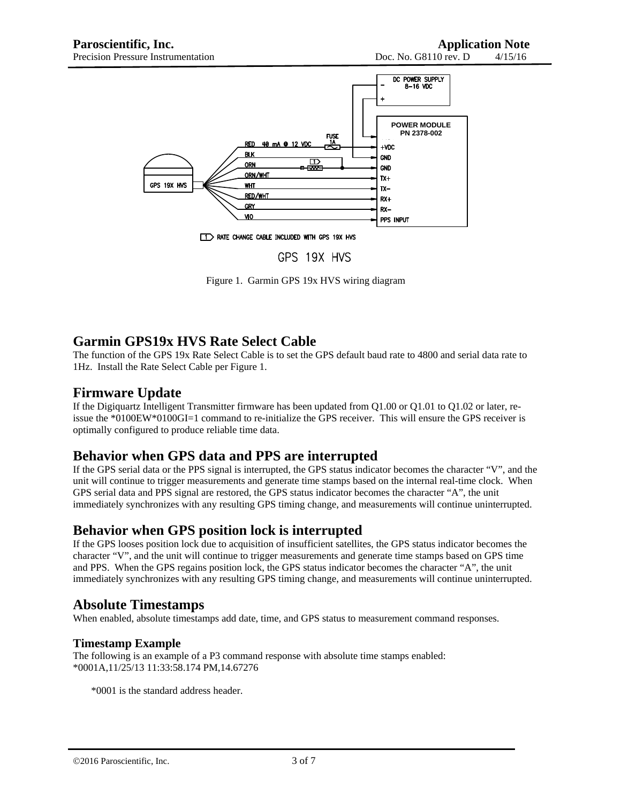

T > RATE CHANGE CABLE INCLUDED WITH GPS 19X HVS

### GPS 19X HVS

Figure 1. Garmin GPS 19x HVS wiring diagram

## **Garmin GPS19x HVS Rate Select Cable**

The function of the GPS 19x Rate Select Cable is to set the GPS default baud rate to 4800 and serial data rate to 1Hz. Install the Rate Select Cable per Figure 1.

## **Firmware Update**

If the Digiquartz Intelligent Transmitter firmware has been updated from Q1.00 or Q1.01 to Q1.02 or later, reissue the \*0100EW\*0100GI=1 command to re-initialize the GPS receiver. This will ensure the GPS receiver is optimally configured to produce reliable time data.

## **Behavior when GPS data and PPS are interrupted**

If the GPS serial data or the PPS signal is interrupted, the GPS status indicator becomes the character "V", and the unit will continue to trigger measurements and generate time stamps based on the internal real-time clock. When GPS serial data and PPS signal are restored, the GPS status indicator becomes the character "A", the unit immediately synchronizes with any resulting GPS timing change, and measurements will continue uninterrupted.

## **Behavior when GPS position lock is interrupted**

If the GPS looses position lock due to acquisition of insufficient satellites, the GPS status indicator becomes the character "V", and the unit will continue to trigger measurements and generate time stamps based on GPS time and PPS. When the GPS regains position lock, the GPS status indicator becomes the character "A", the unit immediately synchronizes with any resulting GPS timing change, and measurements will continue uninterrupted.

## **Absolute Timestamps**

When enabled, absolute timestamps add date, time, and GPS status to measurement command responses.

### **Timestamp Example**

The following is an example of a P3 command response with absolute time stamps enabled: \*0001A,11/25/13 11:33:58.174 PM,14.67276

\*0001 is the standard address header.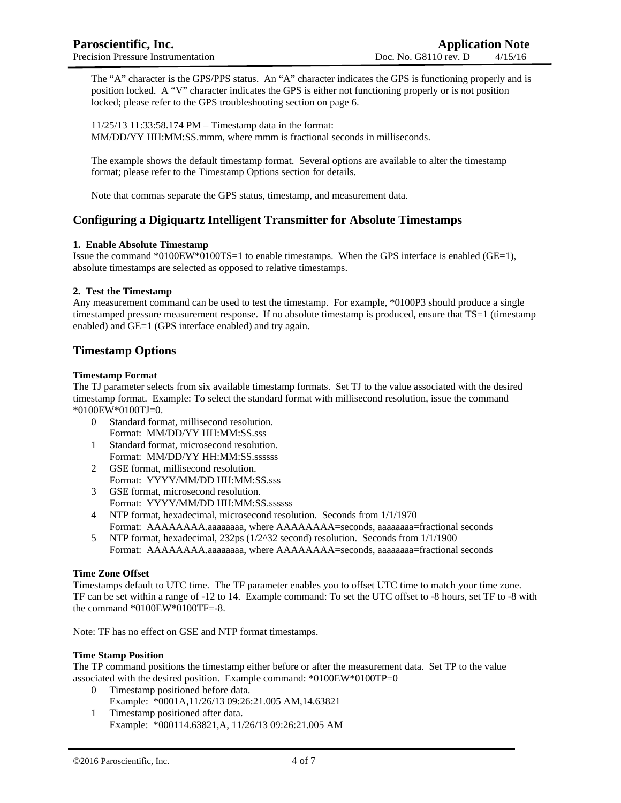The "A" character is the GPS/PPS status. An "A" character indicates the GPS is functioning properly and is position locked. A "V" character indicates the GPS is either not functioning properly or is not position locked; please refer to the GPS troubleshooting section on page 6.

11/25/13 11:33:58.174 PM – Timestamp data in the format: MM/DD/YY HH:MM:SS.mmm, where mmm is fractional seconds in milliseconds.

The example shows the default timestamp format. Several options are available to alter the timestamp format; please refer to the Timestamp Options section for details.

Note that commas separate the GPS status, timestamp, and measurement data.

### **Configuring a Digiquartz Intelligent Transmitter for Absolute Timestamps**

### **1. Enable Absolute Timestamp**

Issue the command \*0100EW\*0100TS=1 to enable timestamps. When the GPS interface is enabled (GE=1), absolute timestamps are selected as opposed to relative timestamps.

### **2. Test the Timestamp**

Any measurement command can be used to test the timestamp. For example, \*0100P3 should produce a single timestamped pressure measurement response. If no absolute timestamp is produced, ensure that TS=1 (timestamp enabled) and GE=1 (GPS interface enabled) and try again.

### **Timestamp Options**

### **Timestamp Format**

The TJ parameter selects from six available timestamp formats. Set TJ to the value associated with the desired timestamp format. Example: To select the standard format with millisecond resolution, issue the command \*0100EW\*0100TJ=0.

- 0 Standard format, millisecond resolution. Format: MM/DD/YY HH:MM:SS.sss
- 1 Standard format, microsecond resolution. Format: MM/DD/YY HH:MM:SS.ssssss
- 2 GSE format, millisecond resolution. Format: YYYY/MM/DD HH:MM:SS.sss
- 3 GSE format, microsecond resolution. Format: YYYY/MM/DD HH:MM:SS.ssssss
- 4 NTP format, hexadecimal, microsecond resolution. Seconds from 1/1/1970
- Format: AAAAAAAA.aaaaaaaaa, where AAAAAAAA=seconds, aaaaaaaa=fractional seconds 5 NTP format, hexadecimal, 232ps (1/2^32 second) resolution. Seconds from 1/1/1900
- Format: AAAAAAAA.aaaaaaaa, where AAAAAAAA=seconds, aaaaaaaa=fractional seconds

### **Time Zone Offset**

Timestamps default to UTC time. The TF parameter enables you to offset UTC time to match your time zone. TF can be set within a range of -12 to 14. Example command: To set the UTC offset to -8 hours, set TF to -8 with the command \*0100EW\*0100TF=-8.

Note: TF has no effect on GSE and NTP format timestamps.

### **Time Stamp Position**

The TP command positions the timestamp either before or after the measurement data. Set TP to the value associated with the desired position. Example command: \*0100EW\*0100TP=0

- 0 Timestamp positioned before data. Example: \*0001A,11/26/13 09:26:21.005 AM,14.63821
- 1 Timestamp positioned after data. Example: \*000114.63821,A, 11/26/13 09:26:21.005 AM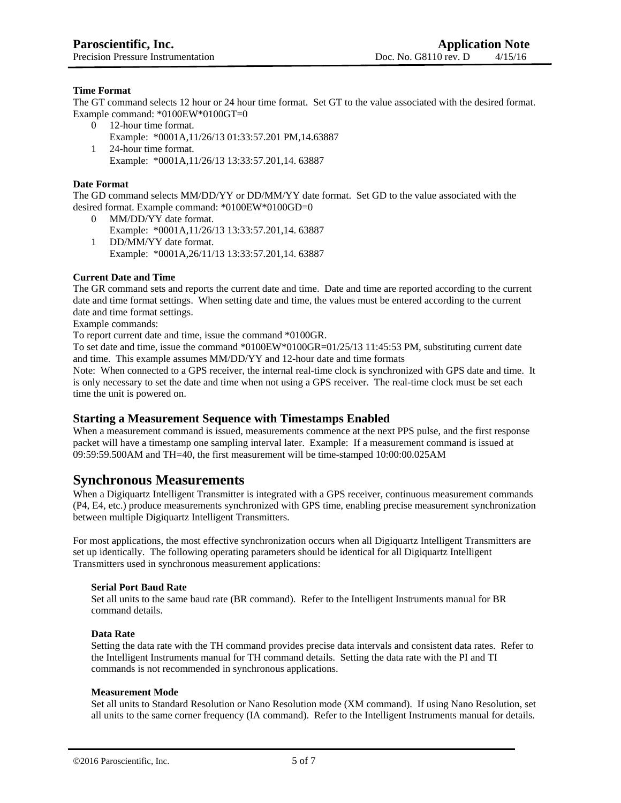### **Time Format**

The GT command selects 12 hour or 24 hour time format. Set GT to the value associated with the desired format. Example command: \*0100EW\*0100GT=0

0 12-hour time format. Example: \*0001A,11/26/13 01:33:57.201 PM,14.63887 1 24-hour time format.

Example: \*0001A,11/26/13 13:33:57.201,14. 63887

### **Date Format**

The GD command selects MM/DD/YY or DD/MM/YY date format. Set GD to the value associated with the desired format. Example command: \*0100EW\*0100GD=0

0 MM/DD/YY date format. Example: \*0001A,11/26/13 13:33:57.201,14. 63887 1 DD/MM/YY date format. Example: \*0001A,26/11/13 13:33:57.201,14. 63887

### **Current Date and Time**

The GR command sets and reports the current date and time. Date and time are reported according to the current date and time format settings. When setting date and time, the values must be entered according to the current date and time format settings.

Example commands:

To report current date and time, issue the command \*0100GR.

To set date and time, issue the command \*0100EW\*0100GR=01/25/13 11:45:53 PM, substituting current date and time. This example assumes MM/DD/YY and 12-hour date and time formats

Note: When connected to a GPS receiver, the internal real-time clock is synchronized with GPS date and time. It is only necessary to set the date and time when not using a GPS receiver. The real-time clock must be set each time the unit is powered on.

### **Starting a Measurement Sequence with Timestamps Enabled**

When a measurement command is issued, measurements commence at the next PPS pulse, and the first response packet will have a timestamp one sampling interval later. Example: If a measurement command is issued at 09:59:59.500AM and TH=40, the first measurement will be time-stamped 10:00:00.025AM

### **Synchronous Measurements**

When a Digiquartz Intelligent Transmitter is integrated with a GPS receiver, continuous measurement commands (P4, E4, etc.) produce measurements synchronized with GPS time, enabling precise measurement synchronization between multiple Digiquartz Intelligent Transmitters.

For most applications, the most effective synchronization occurs when all Digiquartz Intelligent Transmitters are set up identically. The following operating parameters should be identical for all Digiquartz Intelligent Transmitters used in synchronous measurement applications:

### **Serial Port Baud Rate**

Set all units to the same baud rate (BR command). Refer to the Intelligent Instruments manual for BR command details.

### **Data Rate**

Setting the data rate with the TH command provides precise data intervals and consistent data rates. Refer to the Intelligent Instruments manual for TH command details. Setting the data rate with the PI and TI commands is not recommended in synchronous applications.

### **Measurement Mode**

Set all units to Standard Resolution or Nano Resolution mode (XM command). If using Nano Resolution, set all units to the same corner frequency (IA command). Refer to the Intelligent Instruments manual for details.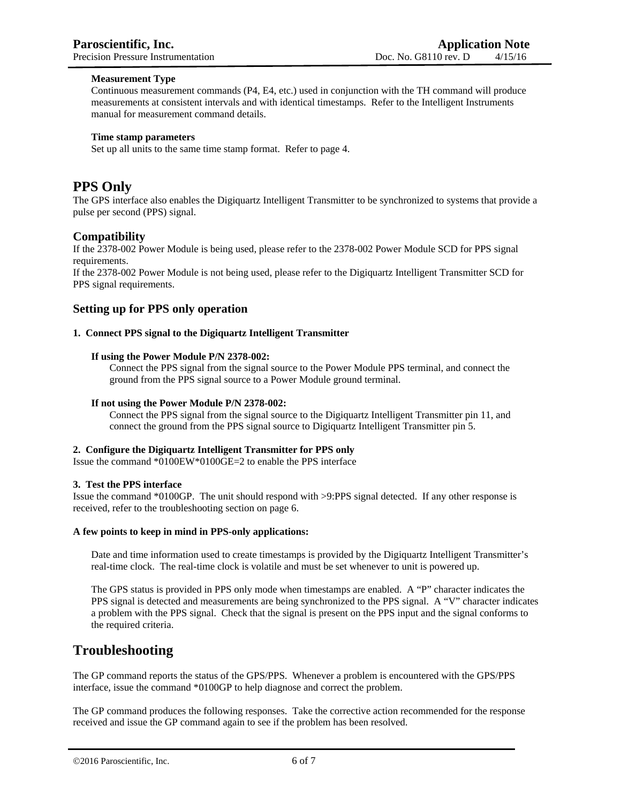### **Measurement Type**

Continuous measurement commands (P4, E4, etc.) used in conjunction with the TH command will produce measurements at consistent intervals and with identical timestamps. Refer to the Intelligent Instruments manual for measurement command details.

### **Time stamp parameters**

Set up all units to the same time stamp format. Refer to page 4.

## **PPS Only**

The GPS interface also enables the Digiquartz Intelligent Transmitter to be synchronized to systems that provide a pulse per second (PPS) signal.

### **Compatibility**

If the 2378-002 Power Module is being used, please refer to the 2378-002 Power Module SCD for PPS signal requirements.

If the 2378-002 Power Module is not being used, please refer to the Digiquartz Intelligent Transmitter SCD for PPS signal requirements.

### **Setting up for PPS only operation**

### **1. Connect PPS signal to the Digiquartz Intelligent Transmitter**

### **If using the Power Module P/N 2378-002:**

Connect the PPS signal from the signal source to the Power Module PPS terminal, and connect the ground from the PPS signal source to a Power Module ground terminal.

### **If not using the Power Module P/N 2378-002:**

Connect the PPS signal from the signal source to the Digiquartz Intelligent Transmitter pin 11, and connect the ground from the PPS signal source to Digiquartz Intelligent Transmitter pin 5.

#### **2. Configure the Digiquartz Intelligent Transmitter for PPS only**

Issue the command \*0100EW\*0100GE=2 to enable the PPS interface

### **3. Test the PPS interface**

Issue the command \*0100GP. The unit should respond with >9:PPS signal detected. If any other response is received, refer to the troubleshooting section on page 6.

### **A few points to keep in mind in PPS-only applications:**

Date and time information used to create timestamps is provided by the Digiquartz Intelligent Transmitter's real-time clock. The real-time clock is volatile and must be set whenever to unit is powered up.

The GPS status is provided in PPS only mode when timestamps are enabled. A "P" character indicates the PPS signal is detected and measurements are being synchronized to the PPS signal. A "V" character indicates a problem with the PPS signal. Check that the signal is present on the PPS input and the signal conforms to the required criteria.

### **Troubleshooting**

The GP command reports the status of the GPS/PPS. Whenever a problem is encountered with the GPS/PPS interface, issue the command \*0100GP to help diagnose and correct the problem.

The GP command produces the following responses. Take the corrective action recommended for the response received and issue the GP command again to see if the problem has been resolved.